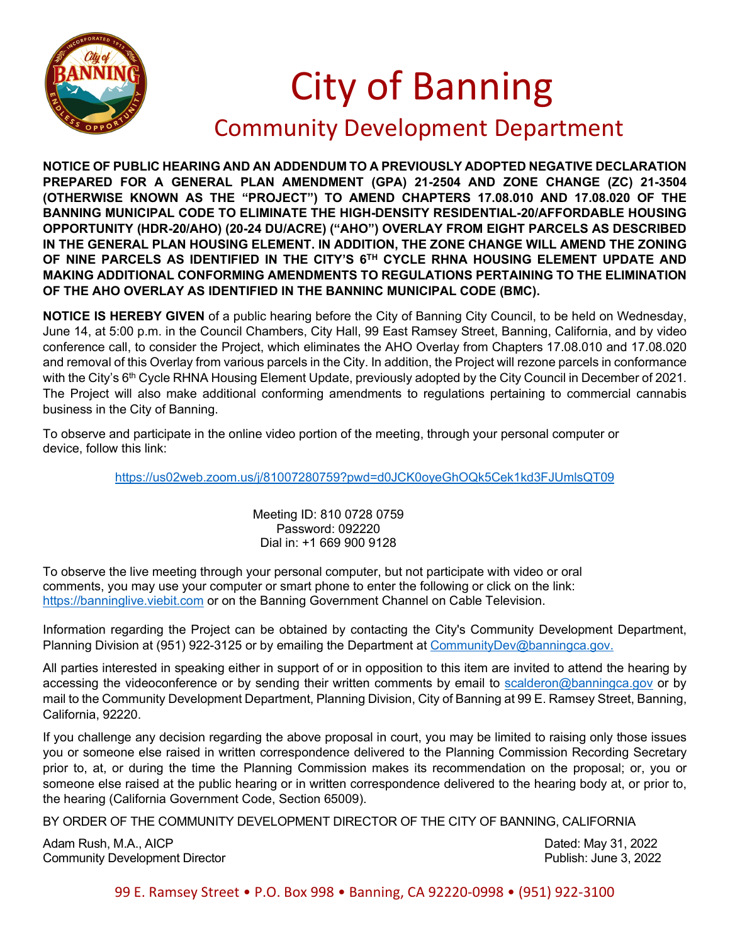

## City of Banning Community Development Department

**NOTICE OF PUBLIC HEARING AND AN ADDENDUM TO A PREVIOUSLY ADOPTED NEGATIVE DECLARATION PREPARED FOR A GENERAL PLAN AMENDMENT (GPA) 21-2504 AND ZONE CHANGE (ZC) 21-3504 (OTHERWISE KNOWN AS THE "PROJECT") TO AMEND CHAPTERS 17.08.010 AND 17.08.020 OF THE BANNING MUNICIPAL CODE TO ELIMINATE THE HIGH-DENSITY RESIDENTIAL-20/AFFORDABLE HOUSING OPPORTUNITY (HDR-20/AHO) (20-24 DU/ACRE) ("AHO") OVERLAY FROM EIGHT PARCELS AS DESCRIBED IN THE GENERAL PLAN HOUSING ELEMENT. IN ADDITION, THE ZONE CHANGE WILL AMEND THE ZONING OF NINE PARCELS AS IDENTIFIED IN THE CITY'S 6TH CYCLE RHNA HOUSING ELEMENT UPDATE AND MAKING ADDITIONAL CONFORMING AMENDMENTS TO REGULATIONS PERTAINING TO THE ELIMINATION OF THE AHO OVERLAY AS IDENTIFIED IN THE BANNINC MUNICIPAL CODE (BMC).** 

**NOTICE IS HEREBY GIVEN** of a public hearing before the City of Banning City Council, to be held on Wednesday, June 14, at 5:00 p.m. in the Council Chambers, City Hall, 99 East Ramsey Street, Banning, California, and by video conference call, to consider the Project, which eliminates the AHO Overlay from Chapters 17.08.010 and 17.08.020 and removal of this Overlay from various parcels in the City. In addition, the Project will rezone parcels in conformance with the City's 6<sup>th</sup> Cycle RHNA Housing Element Update, previously adopted by the City Council in December of 2021. The Project will also make additional conforming amendments to regulations pertaining to commercial cannabis business in the City of Banning.

To observe and participate in the online video portion of the meeting, through your personal computer or device, follow this link:

<https://us02web.zoom.us/j/81007280759?pwd=d0JCK0oyeGhOQk5Cek1kd3FJUmlsQT09>

Meeting ID: 810 0728 0759 Password: 092220 Dial in: +1 669 900 9128

To observe the live meeting through your personal computer, but not participate with video or oral comments, you may use your computer or smart phone to enter the following or click on the link: [https://banninglive.viebit.com](https://banninglive.viebit.com/) or on the Banning Government Channel on Cable Television.

Information regarding the Project can be obtained by contacting the City's Community Development Department, Planning Division at (951) 922-3125 or by emailing the Department at [CommunityDev@banningca.gov.](mailto:CommunityDev@banningca.gov)

All parties interested in speaking either in support of or in opposition to this item are invited to attend the hearing by accessing the videoconference or by sending their written comments by email to [scalderon@banningca.gov](mailto:scalderon@banningca.gov) or by mail to the Community Development Department, Planning Division, City of Banning at 99 E. Ramsey Street, Banning, California, 92220.

If you challenge any decision regarding the above proposal in court, you may be limited to raising only those issues you or someone else raised in written correspondence delivered to the Planning Commission Recording Secretary prior to, at, or during the time the Planning Commission makes its recommendation on the proposal; or, you or someone else raised at the public hearing or in written correspondence delivered to the hearing body at, or prior to, the hearing (California Government Code, Section 65009).

BY ORDER OF THE COMMUNITY DEVELOPMENT DIRECTOR OF THE CITY OF BANNING, CALIFORNIA

Adam Rush, M.A., AICP Dated: May 31, 2022 Community Development Director Publish: June 3, 2022